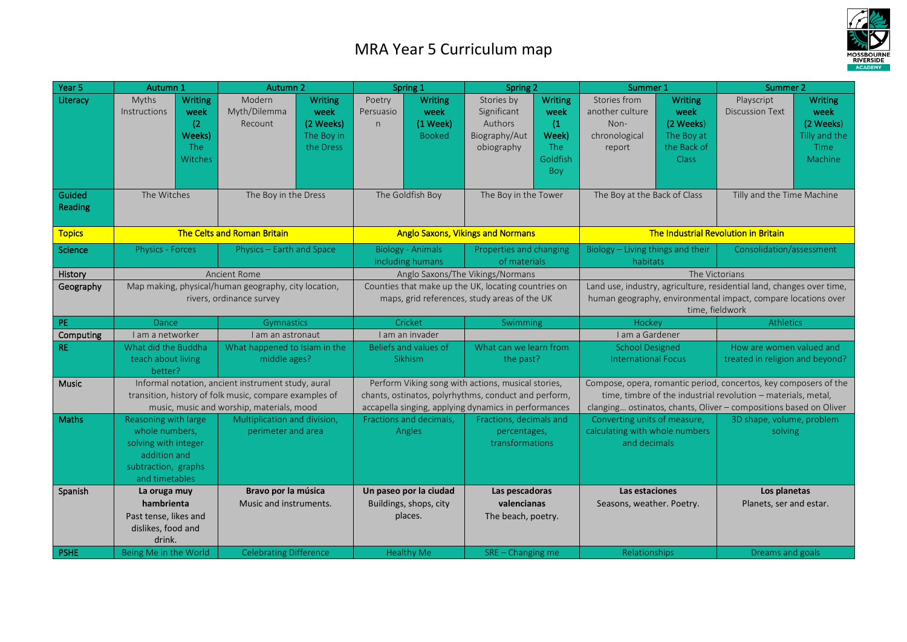## MRA Year 5 Curriculum map



| Year 5            | Autumn 1                                                                                                                                                  | Autumn 2                                                                                            | Spring 1                                                                                                                                                           | Spring 2                                                                                                                                | Summer 1                                                                                                                                                                                               | Summer 2                                                                                                               |  |
|-------------------|-----------------------------------------------------------------------------------------------------------------------------------------------------------|-----------------------------------------------------------------------------------------------------|--------------------------------------------------------------------------------------------------------------------------------------------------------------------|-----------------------------------------------------------------------------------------------------------------------------------------|--------------------------------------------------------------------------------------------------------------------------------------------------------------------------------------------------------|------------------------------------------------------------------------------------------------------------------------|--|
| Literacy          | <b>Writing</b><br>Myths<br><b>Instructions</b><br>week<br>(2)<br>Weeks)<br>The<br>Witches                                                                 | Modern<br><b>Writing</b><br>Myth/Dilemma<br>week<br>(2 Weeks)<br>Recount<br>The Boy in<br>the Dress | <b>Writing</b><br>Poetry<br>week<br>Persuasio<br>(1 Week)<br>n<br><b>Booked</b>                                                                                    | <b>Writing</b><br>Stories by<br>week<br>Significant<br>Authors<br>(1)<br>Week)<br>Biography/Aut<br>obiography<br>The<br>Goldfish<br>Boy | Stories from<br><b>Writing</b><br>another culture<br>week<br>(2 Weeks)<br>Non-<br>The Boy at<br>chronological<br>the Back of<br>report<br><b>Class</b>                                                 | Playscript<br><b>Writing</b><br><b>Discussion Text</b><br>week<br>(2 Weeks)<br>Tilly and the<br><b>Time</b><br>Machine |  |
| Guided<br>Reading | The Witches                                                                                                                                               | The Boy in the Dress                                                                                | The Goldfish Boy                                                                                                                                                   | The Boy in the Tower                                                                                                                    | The Boy at the Back of Class                                                                                                                                                                           | Tilly and the Time Machine                                                                                             |  |
| <b>Topics</b>     | The Celts and Roman Britain                                                                                                                               |                                                                                                     |                                                                                                                                                                    | <b>Anglo Saxons, Vikings and Normans</b>                                                                                                |                                                                                                                                                                                                        | The Industrial Revolution in Britain                                                                                   |  |
| Science           | Physics - Forces                                                                                                                                          | Physics - Earth and Space                                                                           | <b>Biology - Animals</b><br>including humans                                                                                                                       | Properties and changing<br>of materials                                                                                                 | Biology - Living things and their<br>habitats                                                                                                                                                          | Consolidation/assessment                                                                                               |  |
| History           |                                                                                                                                                           | <b>Ancient Rome</b>                                                                                 |                                                                                                                                                                    | Anglo Saxons/The Vikings/Normans                                                                                                        | The Victorians                                                                                                                                                                                         |                                                                                                                        |  |
| Geography         | Map making, physical/human geography, city location,<br>rivers, ordinance survey                                                                          |                                                                                                     | Counties that make up the UK, locating countries on<br>maps, grid references, study areas of the UK                                                                |                                                                                                                                         | Land use, industry, agriculture, residential land, changes over time,<br>human geography, environmental impact, compare locations over<br>time, fieldwork                                              |                                                                                                                        |  |
| PE                | <b>Dance</b>                                                                                                                                              | <b>Gymnastics</b>                                                                                   | Cricket                                                                                                                                                            | Swimming                                                                                                                                | Hockey                                                                                                                                                                                                 | Athletics                                                                                                              |  |
| Computing         | I am a networker                                                                                                                                          | I am an astronaut                                                                                   | I am an invader                                                                                                                                                    |                                                                                                                                         | I am a Gardener                                                                                                                                                                                        |                                                                                                                        |  |
| <b>RE</b>         | What did the Buddha<br>teach about living<br>better?                                                                                                      | What happened to Islam in the<br>middle ages?                                                       | Beliefs and values of<br><b>Sikhism</b>                                                                                                                            | What can we learn from<br>the past?                                                                                                     | <b>School Designed</b><br><b>International Focus</b>                                                                                                                                                   | How are women valued and<br>treated in religion and beyond?                                                            |  |
| Music             | Informal notation, ancient instrument study, aural<br>transition, history of folk music, compare examples of<br>music, music and worship, materials, mood |                                                                                                     | Perform Viking song with actions, musical stories,<br>chants, ostinatos, polyrhythms, conduct and perform,<br>accapella singing, applying dynamics in performances |                                                                                                                                         | Compose, opera, romantic period, concertos, key composers of the<br>time, timbre of the industrial revolution - materials, metal,<br>clanging ostinatos, chants, Oliver - compositions based on Oliver |                                                                                                                        |  |
| <b>Maths</b>      | Reasoning with large<br>whole numbers,<br>solving with integer<br>addition and<br>subtraction, graphs<br>and timetables                                   | Multiplication and division,<br>perimeter and area                                                  | Fractions and decimals,<br>Angles                                                                                                                                  | Fractions, decimals and<br>percentages,<br>transformations                                                                              | Converting units of measure,<br>calculating with whole numbers<br>and decimals                                                                                                                         | 3D shape, volume, problem<br>solving                                                                                   |  |
| Spanish           | La oruga muy<br>hambrienta<br>Past tense, likes and<br>dislikes, food and<br>drink.                                                                       | Bravo por la música<br>Music and instruments.                                                       | Un paseo por la ciudad<br>Buildings, shops, city<br>places.                                                                                                        | Las pescadoras<br>valencianas<br>The beach, poetry.                                                                                     | Las estaciones<br>Seasons, weather. Poetry.                                                                                                                                                            | Los planetas<br>Planets, ser and estar.                                                                                |  |
| <b>PSHE</b>       | Being Me in the World                                                                                                                                     | <b>Celebrating Difference</b>                                                                       | <b>Healthy Me</b>                                                                                                                                                  | SRE - Changing me                                                                                                                       | Relationships                                                                                                                                                                                          | Dreams and goals                                                                                                       |  |